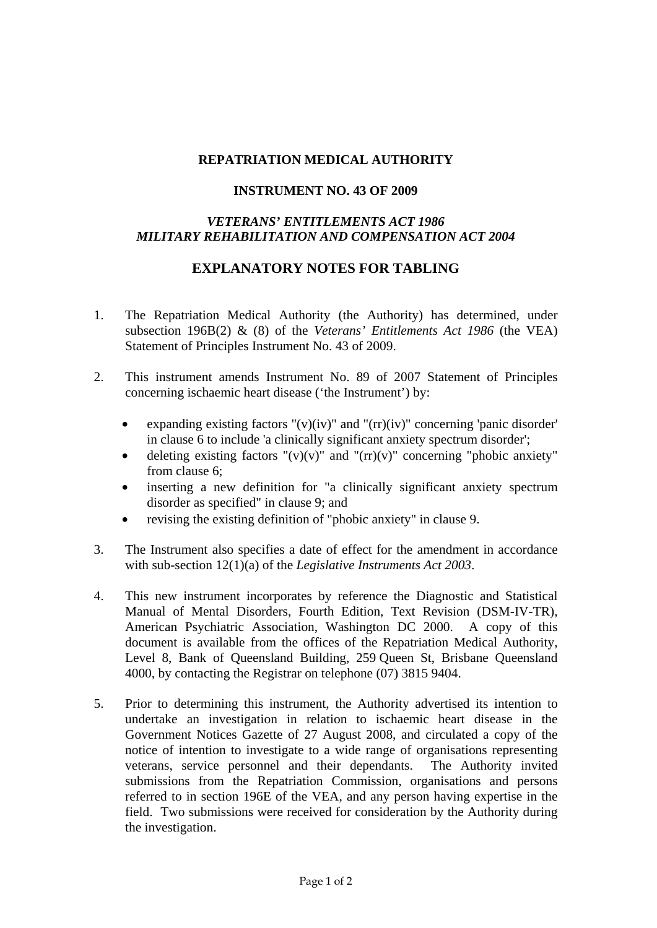## **REPATRIATION MEDICAL AUTHORITY**

## **INSTRUMENT NO. 43 OF 2009**

## *VETERANS' ENTITLEMENTS ACT 1986 MILITARY REHABILITATION AND COMPENSATION ACT 2004*

## **EXPLANATORY NOTES FOR TABLING**

- 1. The Repatriation Medical Authority (the Authority) has determined, under subsection 196B(2) & (8) of the *Veterans' Entitlements Act 1986* (the VEA) Statement of Principles Instrument No. 43 of 2009.
- 2. This instrument amends Instrument No. 89 of 2007 Statement of Principles concerning ischaemic heart disease ('the Instrument') by:
	- expanding existing factors " $(v)(iv)$ " and " $(rr)(iv)$ " concerning 'panic disorder' in clause 6 to include 'a clinically significant anxiety spectrum disorder';
	- deleting existing factors " $(v)(v)$ " and " $(r)(v)$ " concerning "phobic anxiety" from clause 6;
	- inserting a new definition for "a clinically significant anxiety spectrum disorder as specified" in clause 9; and
	- revising the existing definition of "phobic anxiety" in clause 9.
- 3. The Instrument also specifies a date of effect for the amendment in accordance with sub-section 12(1)(a) of the *Legislative Instruments Act 2003*.
- 4. This new instrument incorporates by reference the Diagnostic and Statistical Manual of Mental Disorders, Fourth Edition, Text Revision (DSM-IV-TR), American Psychiatric Association, Washington DC 2000. A copy of this document is available from the offices of the Repatriation Medical Authority, Level 8, Bank of Queensland Building, 259 Queen St, Brisbane Queensland 4000, by contacting the Registrar on telephone (07) 3815 9404.
- 5. Prior to determining this instrument, the Authority advertised its intention to undertake an investigation in relation to ischaemic heart disease in the Government Notices Gazette of 27 August 2008, and circulated a copy of the notice of intention to investigate to a wide range of organisations representing veterans, service personnel and their dependants. The Authority invited submissions from the Repatriation Commission, organisations and persons referred to in section 196E of the VEA, and any person having expertise in the field. Two submissions were received for consideration by the Authority during the investigation.